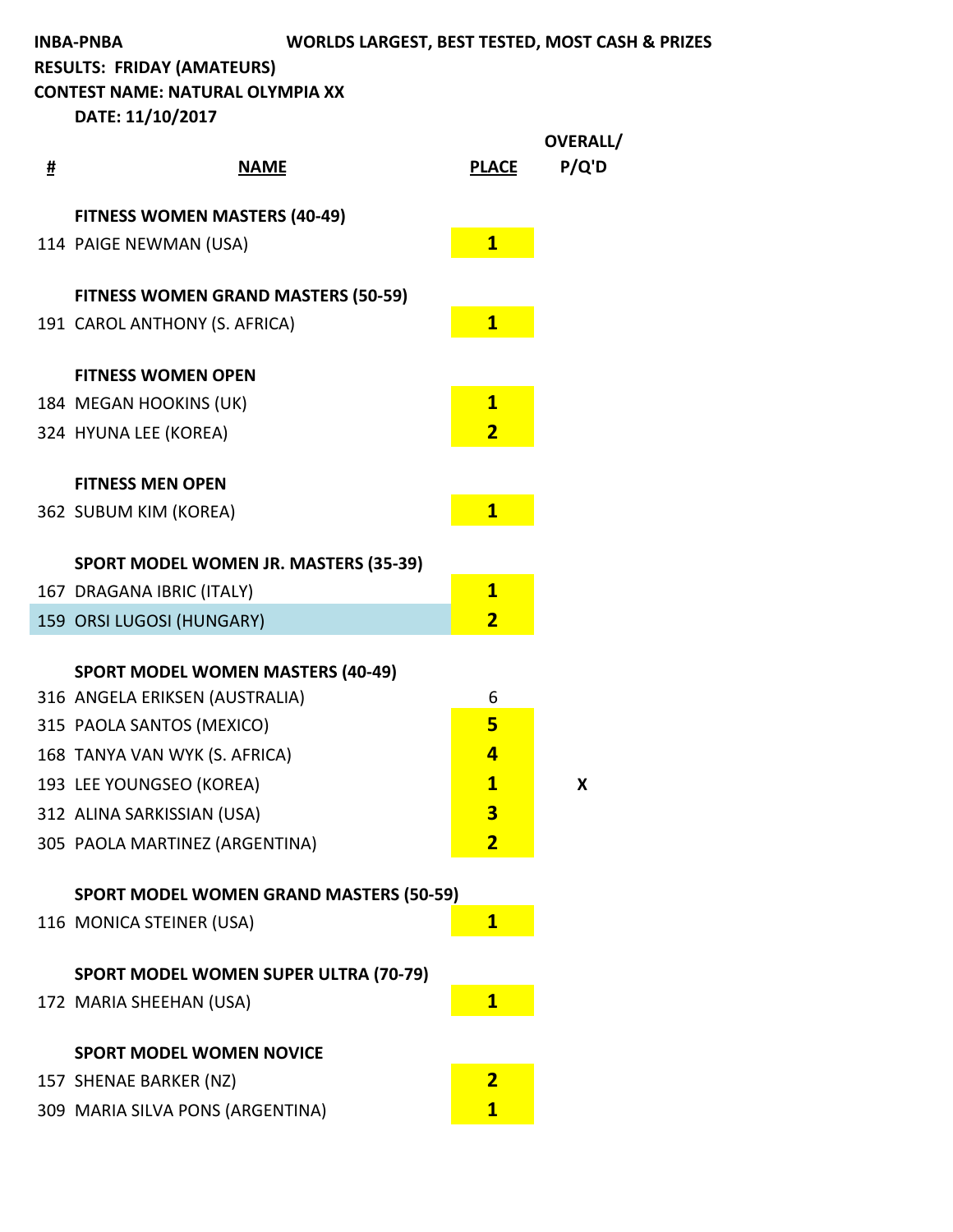**CONTEST NAME: NATURAL OLYMPIA XX** 

| # | <b>NAME</b>                                    | <b>PLACE</b>            | OVERALL/<br>P/Q'D |
|---|------------------------------------------------|-------------------------|-------------------|
|   | <b>FITNESS WOMEN MASTERS (40-49)</b>           |                         |                   |
|   | 114 PAIGE NEWMAN (USA)                         | $\mathbf{1}$            |                   |
|   | <b>FITNESS WOMEN GRAND MASTERS (50-59)</b>     |                         |                   |
|   | 191 CAROL ANTHONY (S. AFRICA)                  | $\mathbf{1}$            |                   |
|   | <b>FITNESS WOMEN OPEN</b>                      |                         |                   |
|   | 184 MEGAN HOOKINS (UK)                         | $\overline{\mathbf{1}}$ |                   |
|   |                                                |                         |                   |
|   | 324 HYUNA LEE (KOREA)                          | $\overline{\mathbf{2}}$ |                   |
|   | <b>FITNESS MEN OPEN</b>                        |                         |                   |
|   | 362 SUBUM KIM (KOREA)                          | $\mathbf{1}$            |                   |
|   |                                                |                         |                   |
|   | SPORT MODEL WOMEN JR. MASTERS (35-39)          |                         |                   |
|   | 167 DRAGANA IBRIC (ITALY)                      | $\overline{\mathbf{1}}$ |                   |
|   | 159 ORSI LUGOSI (HUNGARY)                      | $\overline{\mathbf{2}}$ |                   |
|   |                                                |                         |                   |
|   | <b>SPORT MODEL WOMEN MASTERS (40-49)</b>       |                         |                   |
|   | 316 ANGELA ERIKSEN (AUSTRALIA)                 | 6<br>5                  |                   |
|   | 315 PAOLA SANTOS (MEXICO)                      |                         |                   |
|   | 168 TANYA VAN WYK (S. AFRICA)                  | 4                       |                   |
|   | 193 LEE YOUNGSEO (KOREA)                       | $\mathbf{1}$            | X                 |
|   | 312 ALINA SARKISSIAN (USA)                     | 3                       |                   |
|   | 305 PAOLA MARTINEZ (ARGENTINA)                 | $\overline{\mathbf{2}}$ |                   |
|   | <b>SPORT MODEL WOMEN GRAND MASTERS (50-59)</b> |                         |                   |
|   | 116 MONICA STEINER (USA)                       | $\mathbf{1}$            |                   |
|   |                                                |                         |                   |
|   | <b>SPORT MODEL WOMEN SUPER ULTRA (70-79)</b>   |                         |                   |
|   | 172 MARIA SHEEHAN (USA)                        | $\mathbf{1}$            |                   |
|   |                                                |                         |                   |
|   | <b>SPORT MODEL WOMEN NOVICE</b>                |                         |                   |
|   | 157 SHENAE BARKER (NZ)                         | $\overline{\mathbf{2}}$ |                   |
|   | 309 MARIA SILVA PONS (ARGENTINA)               | $\mathbf{1}$            |                   |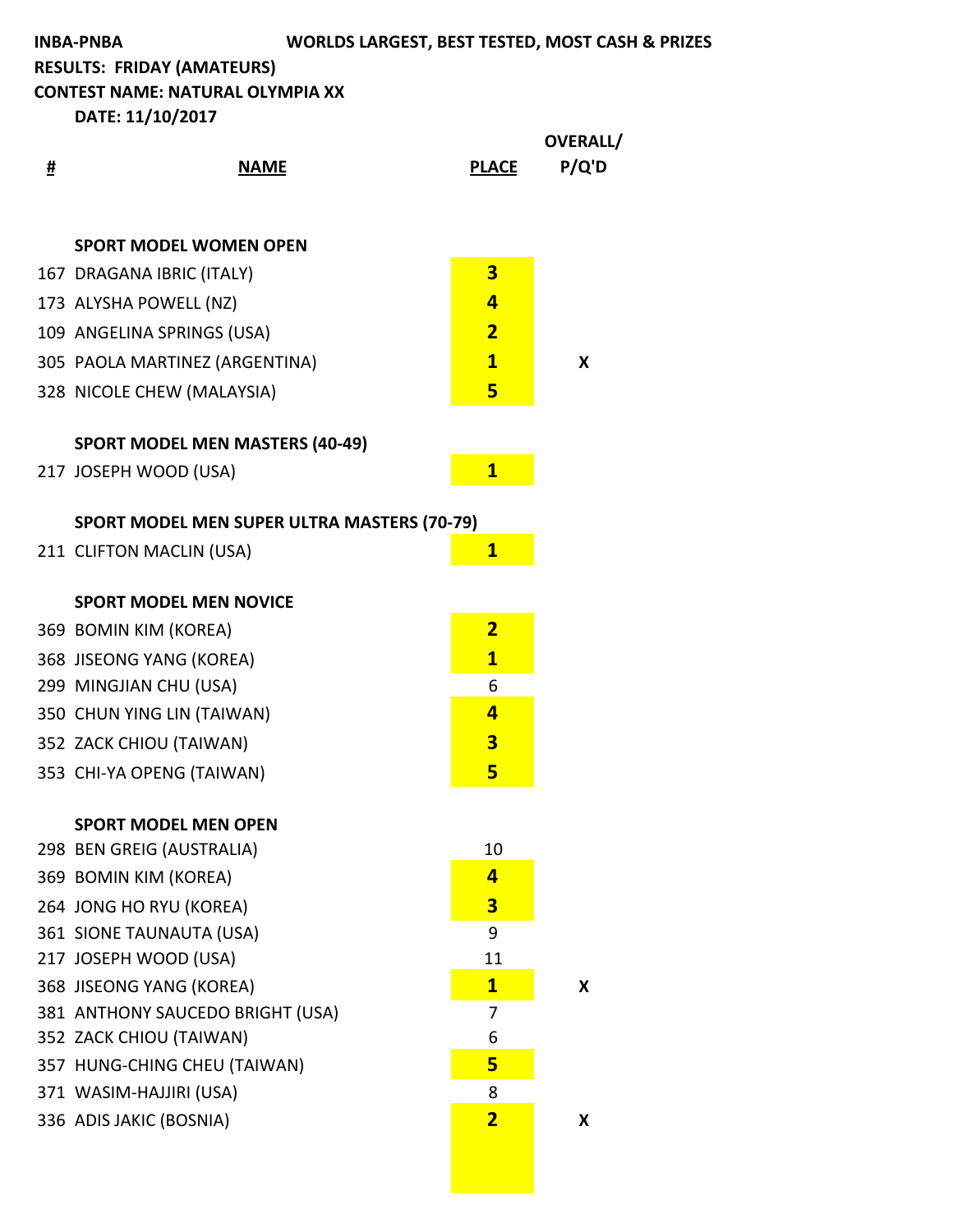**CONTEST NAME: NATURAL OLYMPIA XX** 

| # | <b>NAME</b>                                        | <b>PLACE</b>                 | OVERALL/<br>P/Q'D |
|---|----------------------------------------------------|------------------------------|-------------------|
|   | <b>SPORT MODEL WOMEN OPEN</b>                      |                              |                   |
|   | 167 DRAGANA IBRIC (ITALY)                          | $\overline{\mathbf{3}}$      |                   |
|   | 173 ALYSHA POWELL (NZ)                             | $\overline{\mathbf{r}}$      |                   |
|   | 109 ANGELINA SPRINGS (USA)                         | $\overline{\mathbf{2}}$      |                   |
|   | 305 PAOLA MARTINEZ (ARGENTINA)                     | $\mathbf{1}$                 | X                 |
|   | 328 NICOLE CHEW (MALAYSIA)                         | 5                            |                   |
|   | <b>SPORT MODEL MEN MASTERS (40-49)</b>             |                              |                   |
|   | 217 JOSEPH WOOD (USA)                              | $\mathbf{1}$                 |                   |
|   | <b>SPORT MODEL MEN SUPER ULTRA MASTERS (70-79)</b> |                              |                   |
|   | 211 CLIFTON MACLIN (USA)                           | $\mathbf{1}$                 |                   |
|   | <b>SPORT MODEL MEN NOVICE</b>                      |                              |                   |
|   | 369 BOMIN KIM (KOREA)                              | $\overline{2}$               |                   |
|   | 368 JISEONG YANG (KOREA)                           | $\mathbf{1}$                 |                   |
|   | 299 MINGJIAN CHU (USA)                             | 6                            |                   |
|   | 350 CHUN YING LIN (TAIWAN)                         | $\overline{\mathbf{r}}$      |                   |
|   | 352 ZACK CHIOU (TAIWAN)                            | $\overline{\mathbf{3}}$      |                   |
|   | 353 CHI-YA OPENG (TAIWAN)                          | 5                            |                   |
|   | <b>SPORT MODEL MEN OPEN</b>                        |                              |                   |
|   | 298 BEN GREIG (AUSTRALIA)                          | 10                           |                   |
|   | 369 BOMIN KIM (KOREA)                              | 4                            |                   |
|   | 264 JONG HO RYU (KOREA)                            | 3                            |                   |
|   | 361 SIONE TAUNAUTA (USA)                           | 9                            |                   |
|   | 217 JOSEPH WOOD (USA)                              | 11                           |                   |
|   | 368 JISEONG YANG (KOREA)                           | $\mathbf{1}$                 | X                 |
|   | 381 ANTHONY SAUCEDO BRIGHT (USA)                   | 7                            |                   |
|   | 352 ZACK CHIOU (TAIWAN)                            | 6<br>5                       |                   |
|   | 357 HUNG-CHING CHEU (TAIWAN)                       |                              |                   |
|   | 371 WASIM-HAJJIRI (USA)                            | 8<br>$\overline{\mathbf{2}}$ |                   |
|   | 336 ADIS JAKIC (BOSNIA)                            |                              | X                 |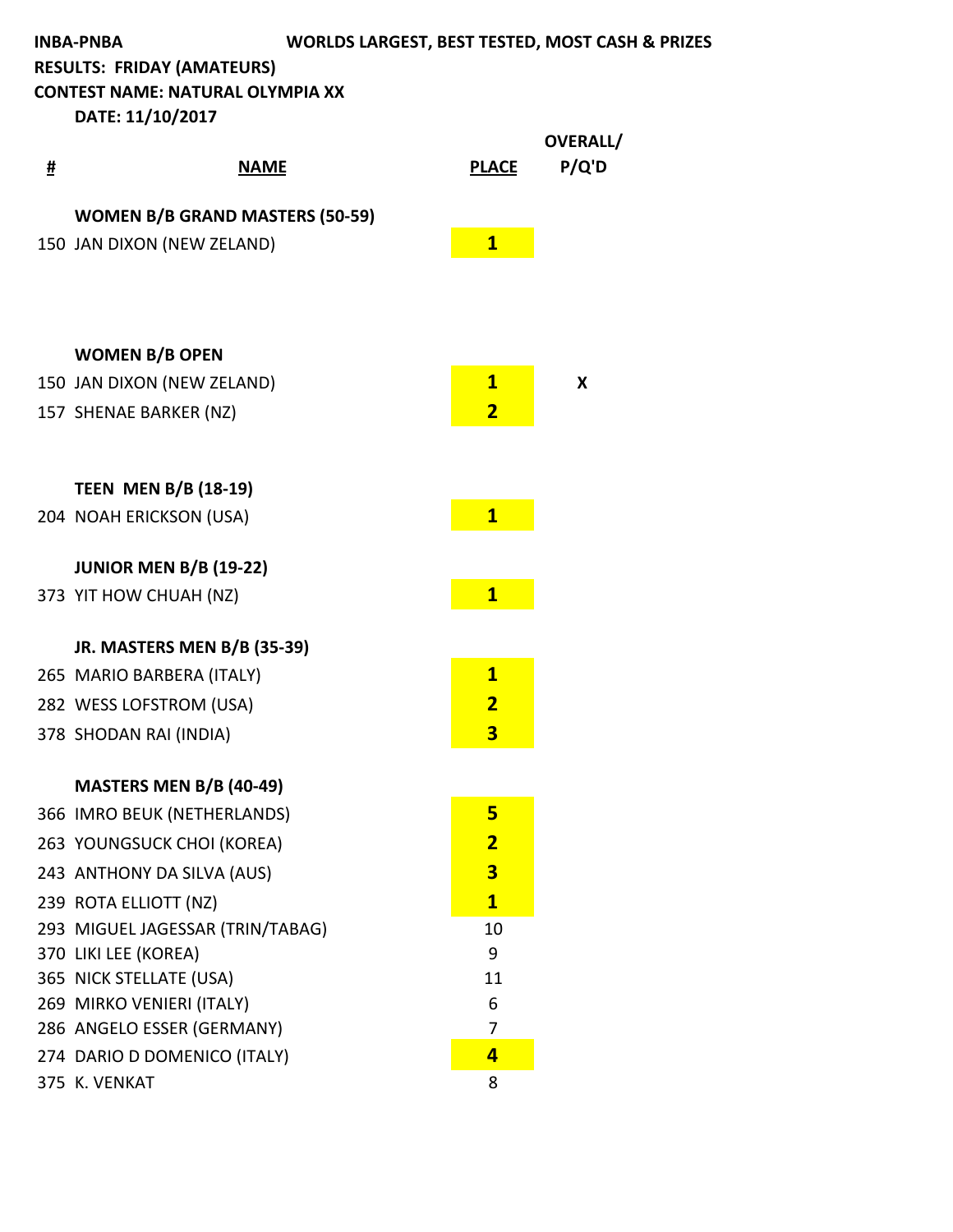**CONTEST NAME: NATURAL OLYMPIA XX** 

| # | <u>NAME</u>                                          | <b>PLACE</b>            | OVERALL/<br>P/Q'D |
|---|------------------------------------------------------|-------------------------|-------------------|
|   | <b>WOMEN B/B GRAND MASTERS (50-59)</b>               |                         |                   |
|   | 150 JAN DIXON (NEW ZELAND)                           | $\mathbf{1}$            |                   |
|   |                                                      |                         |                   |
|   |                                                      |                         |                   |
|   | <b>WOMEN B/B OPEN</b>                                |                         |                   |
|   | 150 JAN DIXON (NEW ZELAND)                           | $\mathbf{1}$            | X                 |
|   | 157 SHENAE BARKER (NZ)                               | $\overline{\mathbf{2}}$ |                   |
|   |                                                      |                         |                   |
|   | <b>TEEN MEN B/B (18-19)</b>                          |                         |                   |
|   | 204 NOAH ERICKSON (USA)                              | $\overline{\mathbf{1}}$ |                   |
|   | <b>JUNIOR MEN B/B (19-22)</b>                        |                         |                   |
|   | 373 YIT HOW CHUAH (NZ)                               | $\overline{\mathbf{1}}$ |                   |
|   | JR. MASTERS MEN B/B (35-39)                          |                         |                   |
|   | 265 MARIO BARBERA (ITALY)                            | $\mathbf{1}$            |                   |
|   | 282 WESS LOFSTROM (USA)                              | $\overline{\mathbf{2}}$ |                   |
|   | 378 SHODAN RAI (INDIA)                               | 3                       |                   |
|   | <b>MASTERS MEN B/B (40-49)</b>                       |                         |                   |
|   | 366 IMRO BEUK (NETHERLANDS)                          | 5                       |                   |
|   | 263 YOUNGSUCK CHOI (KOREA)                           | $\overline{\mathbf{2}}$ |                   |
|   | 243 ANTHONY DA SILVA (AUS)                           | $\overline{\mathbf{3}}$ |                   |
|   | 239 ROTA ELLIOTT (NZ)                                | $\mathbf{1}$            |                   |
|   | 293 MIGUEL JAGESSAR (TRIN/TABAG)                     | 10                      |                   |
|   | 370 LIKI LEE (KOREA)                                 | 9                       |                   |
|   | 365 NICK STELLATE (USA)<br>269 MIRKO VENIERI (ITALY) | 11<br>6                 |                   |
|   | 286 ANGELO ESSER (GERMANY)                           | 7                       |                   |
|   | 274 DARIO D DOMENICO (ITALY)                         | $\overline{\mathbf{r}}$ |                   |
|   | 375 K. VENKAT                                        | 8                       |                   |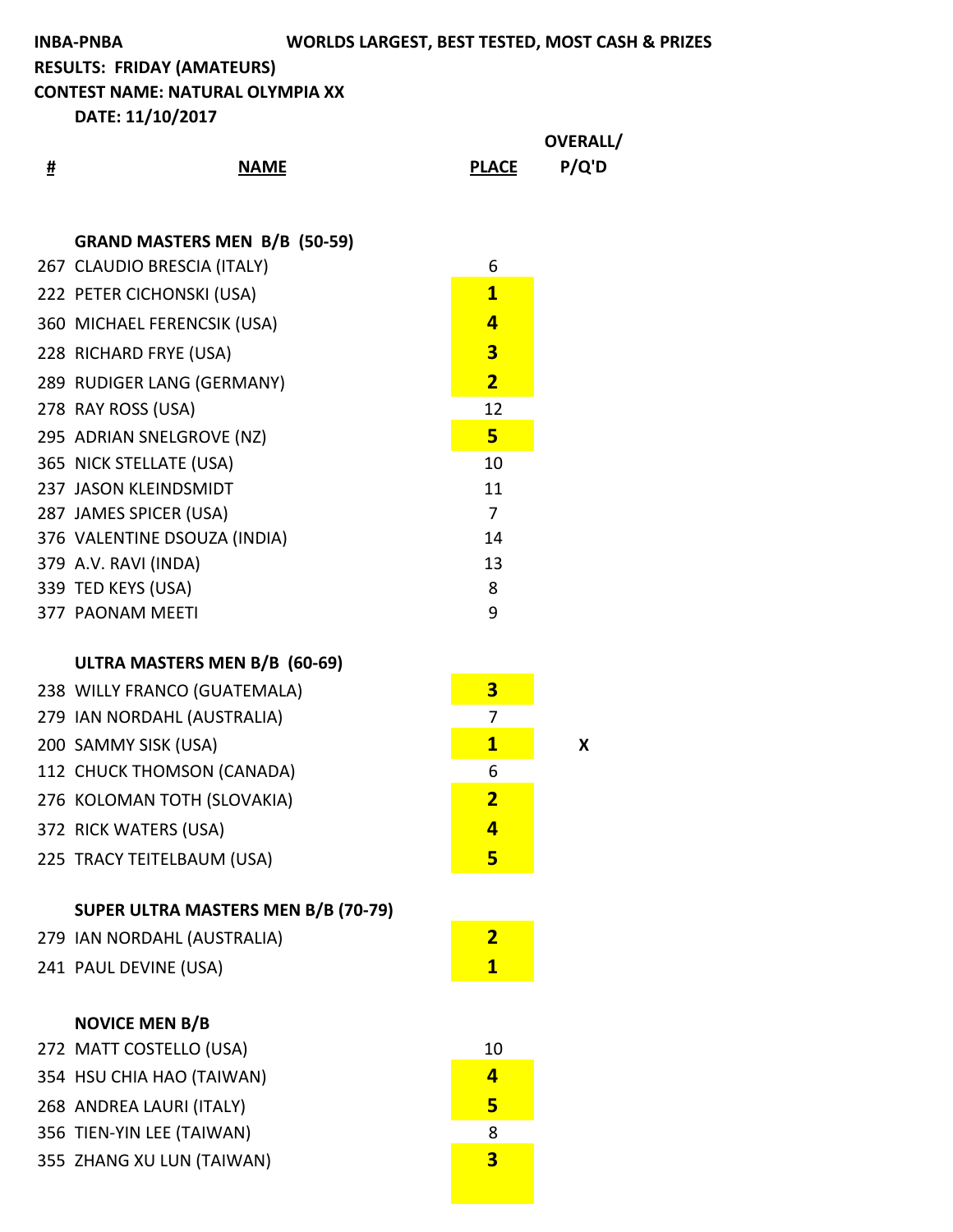**CONTEST NAME: NATURAL OLYMPIA XX** 

|   |                                                  |                         | OVERALL/ |
|---|--------------------------------------------------|-------------------------|----------|
| # | <b>NAME</b>                                      | <b>PLACE</b>            | P/Q'D    |
|   |                                                  |                         |          |
|   | <b>GRAND MASTERS MEN B/B (50-59)</b>             |                         |          |
|   | 267 CLAUDIO BRESCIA (ITALY)                      | 6                       |          |
|   | 222 PETER CICHONSKI (USA)                        | $\overline{\mathbf{1}}$ |          |
|   | 360 MICHAEL FERENCSIK (USA)                      | 4                       |          |
|   | 228 RICHARD FRYE (USA)                           | 3                       |          |
|   | 289 RUDIGER LANG (GERMANY)                       | $\overline{2}$          |          |
|   | 278 RAY ROSS (USA)                               | 12                      |          |
|   | 295 ADRIAN SNELGROVE (NZ)                        | 5                       |          |
|   | 365 NICK STELLATE (USA)                          | 10                      |          |
|   | 237 JASON KLEINDSMIDT                            | 11                      |          |
|   | 287 JAMES SPICER (USA)                           | $\overline{7}$          |          |
|   | 376 VALENTINE DSOUZA (INDIA)                     | 14                      |          |
|   | 379 A.V. RAVI (INDA)                             | 13                      |          |
|   | 339 TED KEYS (USA)                               | 8                       |          |
|   | 377 PAONAM MEETI                                 | 9                       |          |
|   | ULTRA MASTERS MEN B/B (60-69)                    |                         |          |
|   | 238 WILLY FRANCO (GUATEMALA)                     | $\overline{\mathbf{3}}$ |          |
|   | 279 IAN NORDAHL (AUSTRALIA)                      | 7                       |          |
|   | 200 SAMMY SISK (USA)                             | $\mathbf{1}$            | X        |
|   | 112 CHUCK THOMSON (CANADA)                       | 6                       |          |
|   | 276 KOLOMAN TOTH (SLOVAKIA)                      | $\overline{\mathbf{2}}$ |          |
|   | 372 RICK WATERS (USA)                            | 4                       |          |
|   | 225 TRACY TEITELBAUM (USA)                       | 5                       |          |
|   |                                                  |                         |          |
|   | <b>SUPER ULTRA MASTERS MEN B/B (70-79)</b>       |                         |          |
|   | 279 IAN NORDAHL (AUSTRALIA)                      | $\overline{2}$          |          |
|   | 241 PAUL DEVINE (USA)                            | $\mathbf{1}$            |          |
|   |                                                  |                         |          |
|   | <b>NOVICE MEN B/B</b><br>272 MATT COSTELLO (USA) | 10                      |          |
|   | 354 HSU CHIA HAO (TAIWAN)                        | 4                       |          |
|   | 268 ANDREA LAURI (ITALY)                         | 5                       |          |
|   | 356 TIEN-YIN LEE (TAIWAN)                        | 8                       |          |
|   | 355 ZHANG XU LUN (TAIWAN)                        | $\overline{\mathbf{3}}$ |          |
|   |                                                  |                         |          |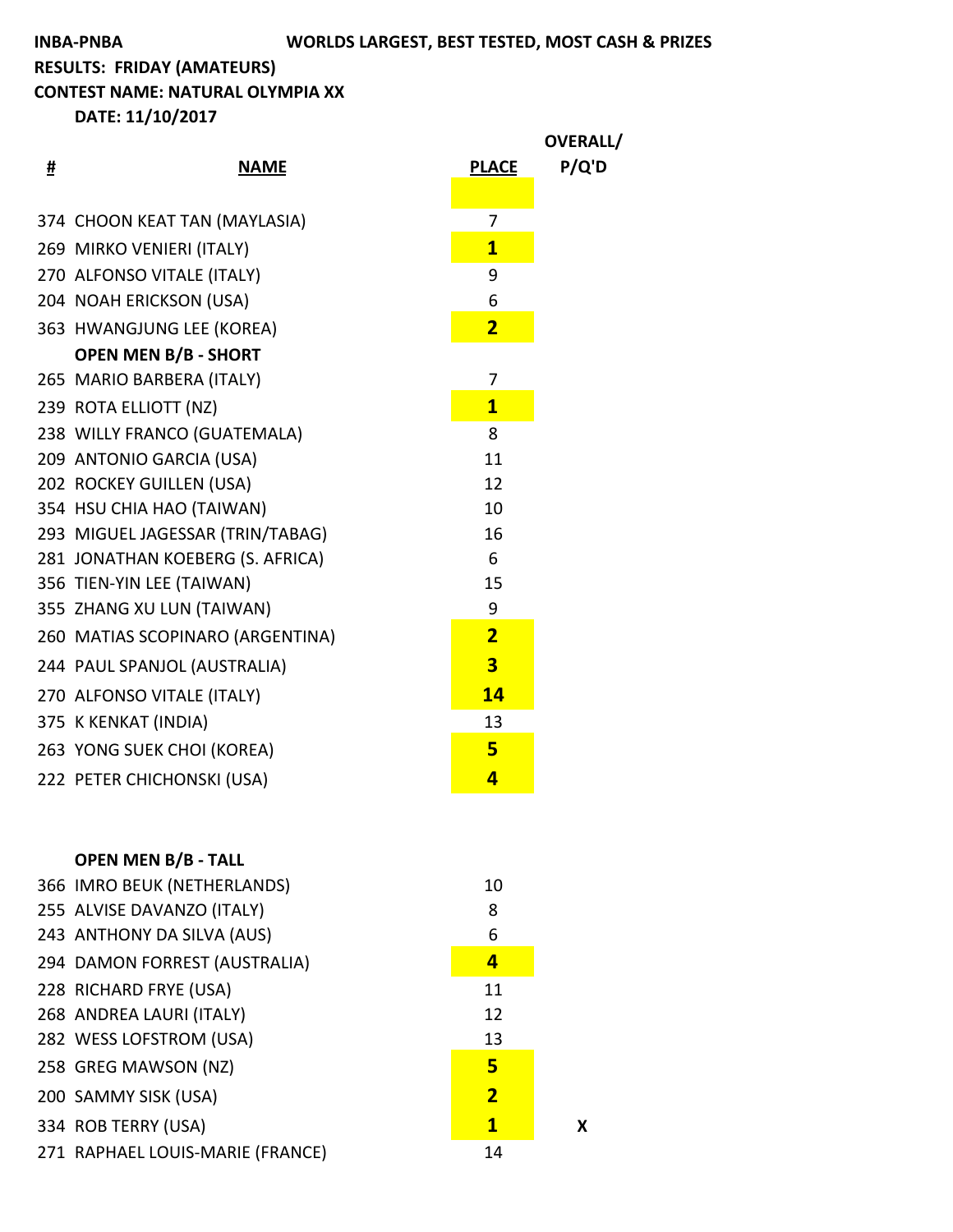**CONTEST NAME: NATURAL OLYMPIA XX** 

|   |                                  |                         | OVERALL/ |
|---|----------------------------------|-------------------------|----------|
| # | <b>NAME</b>                      | <b>PLACE</b>            | P/Q'D    |
|   |                                  |                         |          |
|   | 374 CHOON KEAT TAN (MAYLASIA)    | 7                       |          |
|   | 269 MIRKO VENIERI (ITALY)        | $\overline{\mathbf{1}}$ |          |
|   | 270 ALFONSO VITALE (ITALY)       | 9                       |          |
|   | 204 NOAH ERICKSON (USA)          | 6                       |          |
|   | 363 HWANGJUNG LEE (KOREA)        | $\overline{2}$          |          |
|   | <b>OPEN MEN B/B - SHORT</b>      |                         |          |
|   | 265 MARIO BARBERA (ITALY)        | 7                       |          |
|   | 239 ROTA ELLIOTT (NZ)            | $\overline{1}$          |          |
|   | 238 WILLY FRANCO (GUATEMALA)     | 8                       |          |
|   | 209 ANTONIO GARCIA (USA)         | 11                      |          |
|   | 202 ROCKEY GUILLEN (USA)         | 12                      |          |
|   | 354 HSU CHIA HAO (TAIWAN)        | 10                      |          |
|   | 293 MIGUEL JAGESSAR (TRIN/TABAG) | 16                      |          |
|   | 281 JONATHAN KOEBERG (S. AFRICA) | 6                       |          |
|   | 356 TIEN-YIN LEE (TAIWAN)        | 15                      |          |
|   | 355 ZHANG XU LUN (TAIWAN)        | 9                       |          |
|   | 260 MATIAS SCOPINARO (ARGENTINA) | $\overline{2}$          |          |
|   | 244 PAUL SPANJOL (AUSTRALIA)     | $\overline{\mathbf{3}}$ |          |
|   | 270 ALFONSO VITALE (ITALY)       | 14                      |          |
|   | 375 K KENKAT (INDIA)             | 13                      |          |
|   | 263 YONG SUEK CHOI (KOREA)       | 5                       |          |
|   | 222 PETER CHICHONSKI (USA)       | 4                       |          |
|   |                                  |                         |          |
|   |                                  |                         |          |

| <b>OPEN MEN B/B - TALL</b>       |                |   |
|----------------------------------|----------------|---|
| 366 IMRO BEUK (NETHERLANDS)      | 10             |   |
| 255 ALVISE DAVANZO (ITALY)       | 8              |   |
| 243 ANTHONY DA SILVA (AUS)       | 6              |   |
| 294 DAMON FORREST (AUSTRALIA)    | 4              |   |
| 228 RICHARD FRYE (USA)           | 11             |   |
| 268 ANDREA LAURI (ITALY)         | 12             |   |
| 282 WESS LOFSTROM (USA)          | 13             |   |
| 258 GREG MAWSON (NZ)             | 5              |   |
| 200 SAMMY SISK (USA)             | $\overline{2}$ |   |
| 334 ROB TERRY (USA)              | $\mathbf{1}$   | x |
| 271 RAPHAEL LOUIS-MARIE (FRANCE) | 14             |   |
|                                  |                |   |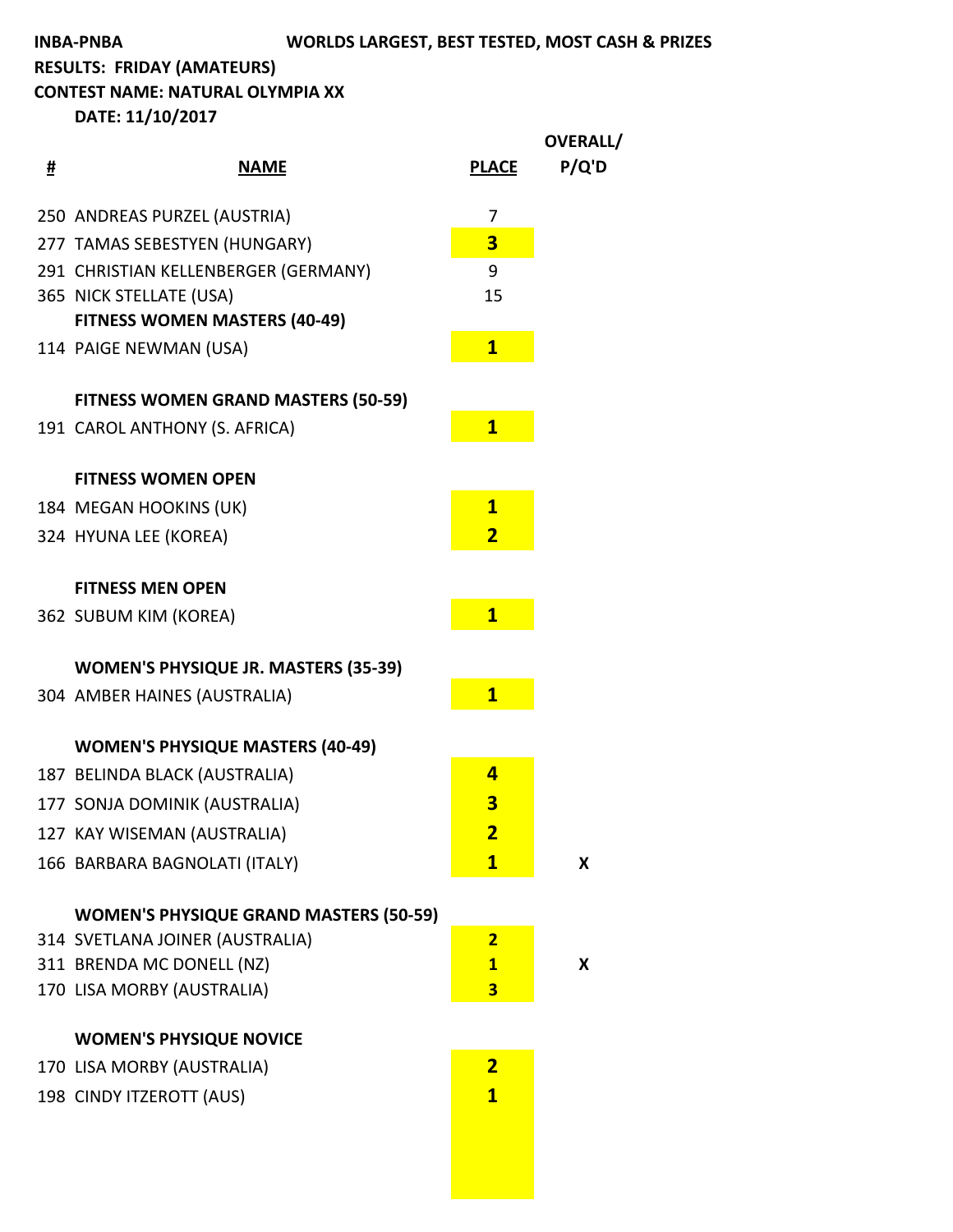**CONTEST NAME: NATURAL OLYMPIA XX** 

|   |                                               |                         | <b>OVERALL/</b> |
|---|-----------------------------------------------|-------------------------|-----------------|
| # | <b>NAME</b>                                   | <b>PLACE</b>            | P/Q'D           |
|   | 250 ANDREAS PURZEL (AUSTRIA)                  | 7                       |                 |
|   | 277 TAMAS SEBESTYEN (HUNGARY)                 | $\overline{\mathbf{3}}$ |                 |
|   | 291 CHRISTIAN KELLENBERGER (GERMANY)          | 9                       |                 |
|   | 365 NICK STELLATE (USA)                       | 15                      |                 |
|   | <b>FITNESS WOMEN MASTERS (40-49)</b>          |                         |                 |
|   | 114 PAIGE NEWMAN (USA)                        | $\mathbf{1}$            |                 |
|   | <b>FITNESS WOMEN GRAND MASTERS (50-59)</b>    |                         |                 |
|   | 191 CAROL ANTHONY (S. AFRICA)                 | $\mathbf{1}$            |                 |
|   | <b>FITNESS WOMEN OPEN</b>                     |                         |                 |
|   | 184 MEGAN HOOKINS (UK)                        | $\overline{\mathbf{1}}$ |                 |
|   | 324 HYUNA LEE (KOREA)                         | $\overline{\mathbf{2}}$ |                 |
|   | <b>FITNESS MEN OPEN</b>                       |                         |                 |
|   | 362 SUBUM KIM (KOREA)                         | $\overline{\mathbf{1}}$ |                 |
|   | <b>WOMEN'S PHYSIQUE JR. MASTERS (35-39)</b>   |                         |                 |
|   | 304 AMBER HAINES (AUSTRALIA)                  | $\overline{\mathbf{1}}$ |                 |
|   | <b>WOMEN'S PHYSIQUE MASTERS (40-49)</b>       |                         |                 |
|   | 187 BELINDA BLACK (AUSTRALIA)                 | 4                       |                 |
|   | 177 SONJA DOMINIK (AUSTRALIA)                 | 3                       |                 |
|   | 127 KAY WISEMAN (AUSTRALIA)                   | <u>2</u>                |                 |
|   | 166 BARBARA BAGNOLATI (ITALY)                 | $\mathbf{1}$            | X               |
|   | <b>WOMEN'S PHYSIQUE GRAND MASTERS (50-59)</b> |                         |                 |
|   | 314 SVETLANA JOINER (AUSTRALIA)               | $\overline{2}$          |                 |
|   | 311 BRENDA MC DONELL (NZ)                     | $\mathbf{1}$            | X               |
|   | 170 LISA MORBY (AUSTRALIA)                    | 3                       |                 |
|   | <b>WOMEN'S PHYSIQUE NOVICE</b>                |                         |                 |
|   | 170 LISA MORBY (AUSTRALIA)                    | $\overline{2}$          |                 |
|   | 198 CINDY ITZEROTT (AUS)                      | $\mathbf{1}$            |                 |
|   |                                               |                         |                 |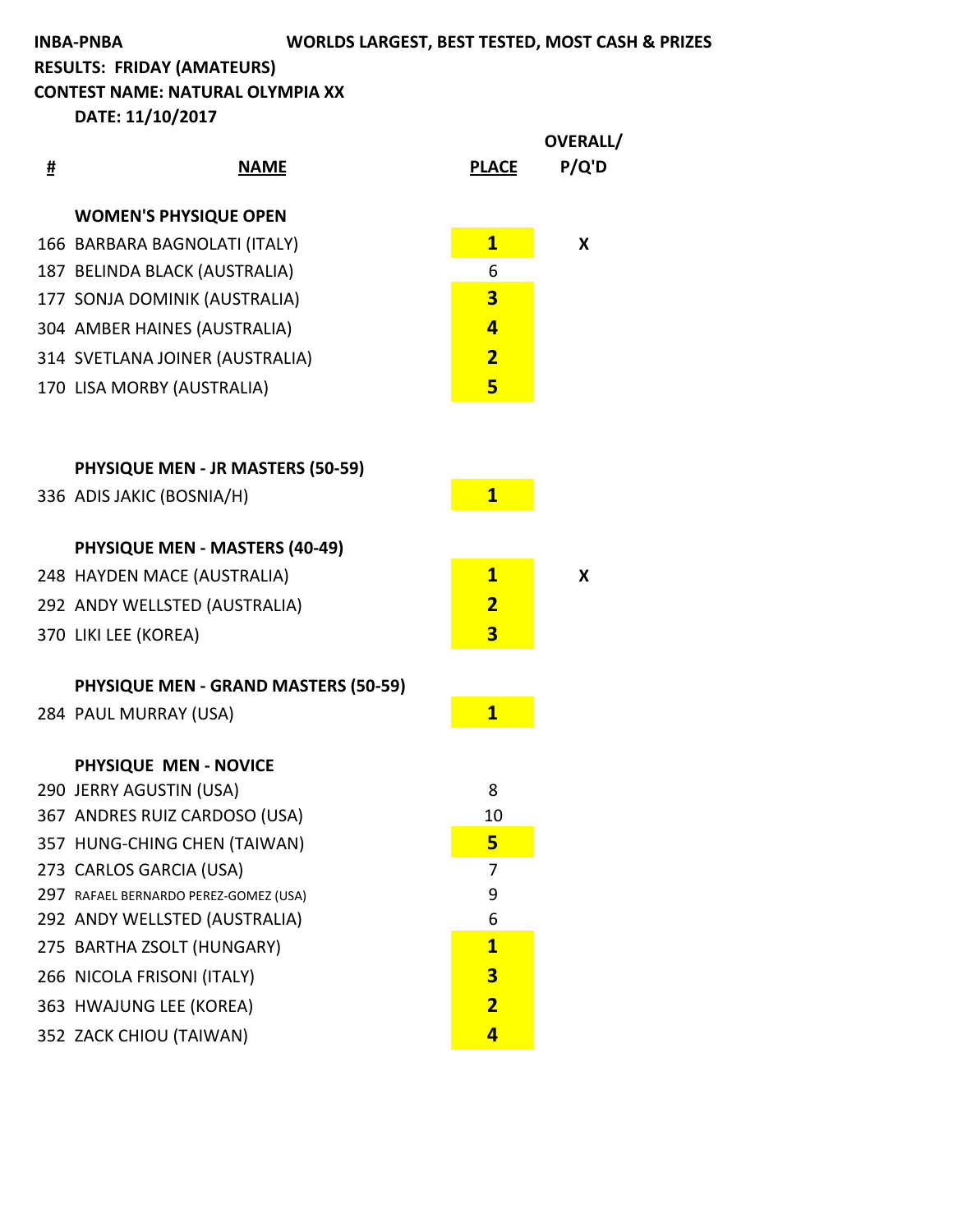## **INBA-PNBA WORLDS LARGEST, BEST TESTED, MOST CASH & PRIZES**

**RESULTS: FRIDAY (AMATEURS)** 

**CONTEST NAME: NATURAL OLYMPIA XX** 

|   |                                             |                         | OVERALL/ |
|---|---------------------------------------------|-------------------------|----------|
| # | <b>NAME</b>                                 | <b>PLACE</b>            | P/Q'D    |
|   | <b>WOMEN'S PHYSIQUE OPEN</b>                |                         |          |
|   | 166 BARBARA BAGNOLATI (ITALY)               | $\mathbf{1}$            | X        |
|   | 187 BELINDA BLACK (AUSTRALIA)               | 6                       |          |
|   | 177 SONJA DOMINIK (AUSTRALIA)               | 3                       |          |
|   | 304 AMBER HAINES (AUSTRALIA)                | $\overline{\mathbf{4}}$ |          |
|   | 314 SVETLANA JOINER (AUSTRALIA)             | $\overline{\mathbf{2}}$ |          |
|   | 170 LISA MORBY (AUSTRALIA)                  | 5                       |          |
|   |                                             |                         |          |
|   | <b>PHYSIQUE MEN - JR MASTERS (50-59)</b>    |                         |          |
|   | 336 ADIS JAKIC (BOSNIA/H)                   | $\mathbf{1}$            |          |
|   | <b>PHYSIQUE MEN - MASTERS (40-49)</b>       |                         |          |
|   | 248 HAYDEN MACE (AUSTRALIA)                 | $\mathbf{1}$            | X        |
|   | 292 ANDY WELLSTED (AUSTRALIA)               | $\overline{\mathbf{2}}$ |          |
|   | 370 LIKI LEE (KOREA)                        | 3                       |          |
|   | <b>PHYSIQUE MEN - GRAND MASTERS (50-59)</b> |                         |          |
|   | 284 PAUL MURRAY (USA)                       | $\mathbf{1}$            |          |
|   | PHYSIQUE MEN - NOVICE                       |                         |          |
|   | 290 JERRY AGUSTIN (USA)                     | 8                       |          |
|   | 367 ANDRES RUIZ CARDOSO (USA)               | 10                      |          |
|   | 357 HUNG-CHING CHEN (TAIWAN)                | 5                       |          |
|   | 273 CARLOS GARCIA (USA)                     | 7                       |          |
|   | 297 RAFAEL BERNARDO PEREZ-GOMEZ (USA)       | 9                       |          |
|   | 292 ANDY WELLSTED (AUSTRALIA)               | 6                       |          |
|   | 275 BARTHA ZSOLT (HUNGARY)                  | $\overline{\mathbf{1}}$ |          |
|   | 266 NICOLA FRISONI (ITALY)                  | 3                       |          |
|   | 363 HWAJUNG LEE (KOREA)                     | $\overline{\mathbf{2}}$ |          |
|   | 352 ZACK CHIOU (TAIWAN)                     | 4                       |          |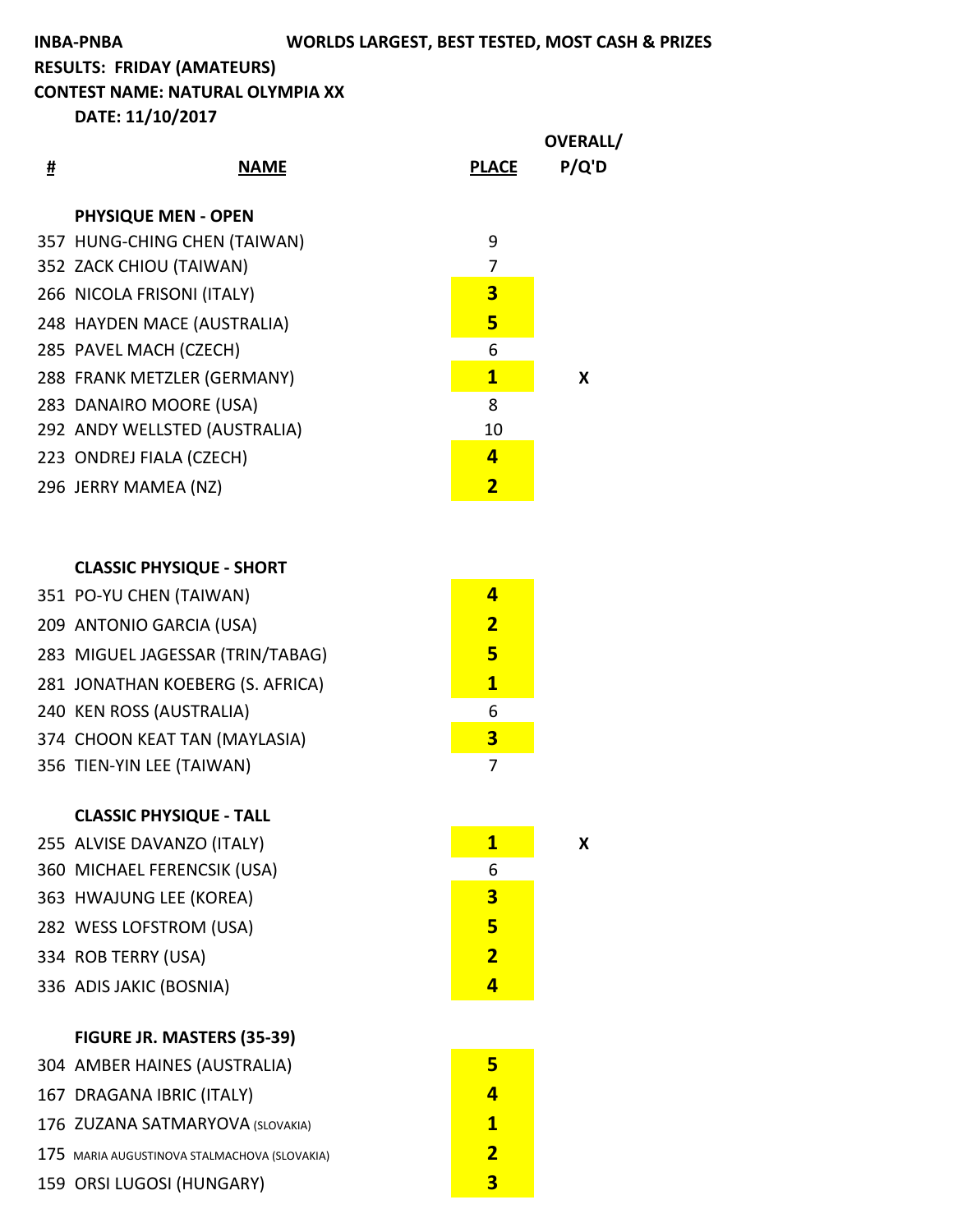**INBA-PNBA WORLDS LARGEST, BEST TESTED, MOST CASH & PRIZES** 

**RESULTS: FRIDAY (AMATEURS)** 

**CONTEST NAME: NATURAL OLYMPIA XX** 

**DATE: 11/10/2017**

| # | <b>NAME</b>                   | <b>PLACE</b>            | <b>OVERALL/</b><br>P/Q'D |
|---|-------------------------------|-------------------------|--------------------------|
|   | <b>PHYSIQUE MEN - OPEN</b>    |                         |                          |
|   | 357 HUNG-CHING CHEN (TAIWAN)  | 9                       |                          |
|   | 352 ZACK CHIOU (TAIWAN)       | 7                       |                          |
|   | 266 NICOLA FRISONI (ITALY)    | 3                       |                          |
|   | 248 HAYDEN MACE (AUSTRALIA)   | 5                       |                          |
|   | 285 PAVEL MACH (CZECH)        | 6                       |                          |
|   | 288 FRANK METZLER (GERMANY)   | $\mathbf{1}$            | x                        |
|   | 283 DANAIRO MOORE (USA)       | 8                       |                          |
|   | 292 ANDY WELLSTED (AUSTRALIA) | 10                      |                          |
|   | 223 ONDREJ FIALA (CZECH)      | 4                       |                          |
|   | 296 JERRY MAMEA (NZ)          | $\overline{\mathbf{2}}$ |                          |
|   |                               |                         |                          |

## **CLASSIC PHYSIQUE - SHORT**

| 351 PO-YU CHEN (TAIWAN)          |   |
|----------------------------------|---|
| 209 ANTONIO GARCIA (USA)         | 2 |
| 283 MIGUEL JAGESSAR (TRIN/TABAG) | 5 |
| 281 JONATHAN KOEBERG (S. AFRICA) | 1 |
| 240 KEN ROSS (AUSTRALIA)         | 6 |
| 374 CHOON KEAT TAN (MAYLASIA)    | 3 |
| 356 TIEN-YIN LEE (TAIWAN)        |   |
|                                  |   |

## **CLASSIC PHYSIQUE - TALL**

| 255 ALVISE DAVANZO (ITALY)  | 1 | x |
|-----------------------------|---|---|
| 360 MICHAEL FERENCSIK (USA) | 6 |   |
| 363 HWAJUNG LEE (KOREA)     | 3 |   |
| 282 WESS LOFSTROM (USA)     | 5 |   |
| 334 ROB TERRY (USA)         | 2 |   |
| 336 ADIS JAKIC (BOSNIA)     |   |   |

| FIGURE JR. MASTERS (35-39) |  |
|----------------------------|--|
|----------------------------|--|

| 304 AMBER HAINES (AUSTRALIA)                 |   |
|----------------------------------------------|---|
| 167 DRAGANA IBRIC (ITALY)                    | 4 |
| 176 ZUZANA SATMARYOVA (SLOVAKIA)             | 1 |
| 175 MARIA AUGUSTINOVA STALMACHOVA (SLOVAKIA) | 2 |
| 159 ORSI LUGOSI (HUNGARY)                    | R |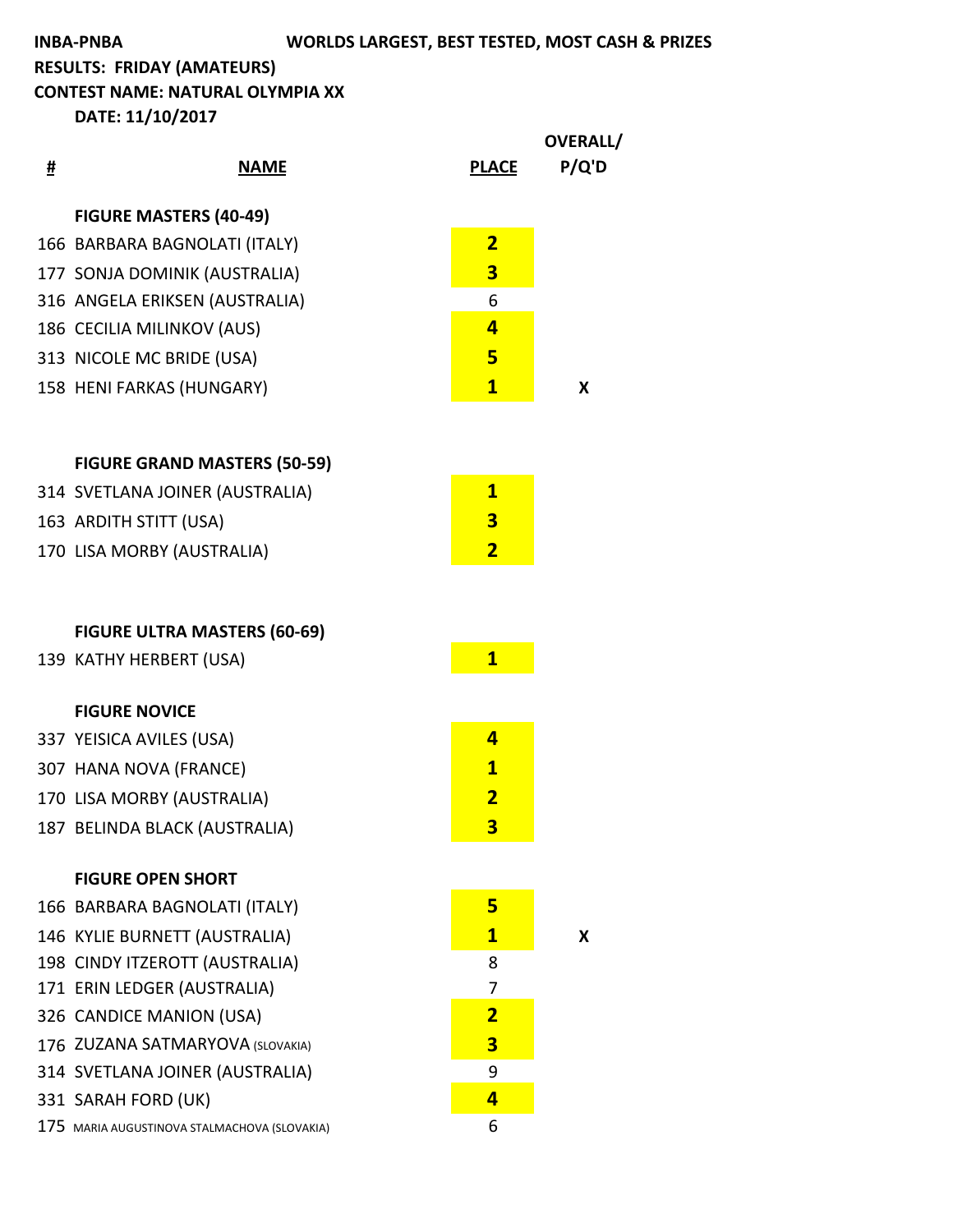**INBA-PNBA WORLDS LARGEST, BEST TESTED, MOST CASH & PRIZES** 

**RESULTS: FRIDAY (AMATEURS)** 

**CONTEST NAME: NATURAL OLYMPIA XX** 

|   |                                              |                         | <b>OVERALL/</b> |
|---|----------------------------------------------|-------------------------|-----------------|
| # | <u>NAME</u>                                  | <b>PLACE</b>            | P/Q'D           |
|   | <b>FIGURE MASTERS (40-49)</b>                |                         |                 |
|   | 166 BARBARA BAGNOLATI (ITALY)                | $\overline{2}$          |                 |
|   | 177 SONJA DOMINIK (AUSTRALIA)                | 3                       |                 |
|   | 316 ANGELA ERIKSEN (AUSTRALIA)               | 6                       |                 |
|   | 186 CECILIA MILINKOV (AUS)                   | 4                       |                 |
|   | 313 NICOLE MC BRIDE (USA)                    | 5                       |                 |
|   | 158 HENI FARKAS (HUNGARY)                    | $\mathbf{1}$            | X               |
|   | <b>FIGURE GRAND MASTERS (50-59)</b>          |                         |                 |
|   | 314 SVETLANA JOINER (AUSTRALIA)              | $\overline{\mathbf{1}}$ |                 |
|   | 163 ARDITH STITT (USA)                       | 3                       |                 |
|   | 170 LISA MORBY (AUSTRALIA)                   | $\overline{\mathbf{2}}$ |                 |
|   | <b>FIGURE ULTRA MASTERS (60-69)</b>          |                         |                 |
|   | 139 KATHY HERBERT (USA)                      | $\mathbf{1}$            |                 |
|   |                                              |                         |                 |
|   | <b>FIGURE NOVICE</b>                         |                         |                 |
|   | 337 YEISICA AVILES (USA)                     | 4                       |                 |
|   | 307 HANA NOVA (FRANCE)                       | $\mathbf{1}$            |                 |
|   | 170 LISA MORBY (AUSTRALIA)                   | $\overline{\mathbf{2}}$ |                 |
|   | 187 BELINDA BLACK (AUSTRALIA)                | 3 <sup>2</sup>          |                 |
|   | <b>FIGURE OPEN SHORT</b>                     |                         |                 |
|   | 166 BARBARA BAGNOLATI (ITALY)                | 5                       |                 |
|   | 146 KYLIE BURNETT (AUSTRALIA)                | $\mathbf{1}$            | X               |
|   | 198 CINDY ITZEROTT (AUSTRALIA)               | 8                       |                 |
|   | 171 ERIN LEDGER (AUSTRALIA)                  | 7                       |                 |
|   | 326 CANDICE MANION (USA)                     | $\overline{\mathbf{2}}$ |                 |
|   | 176 ZUZANA SATMARYOVA (SLOVAKIA)             | 3                       |                 |
|   | 314 SVETLANA JOINER (AUSTRALIA)              | 9                       |                 |
|   | 331 SARAH FORD (UK)                          | 4                       |                 |
|   | 175 MARIA AUGUSTINOVA STALMACHOVA (SLOVAKIA) | 6                       |                 |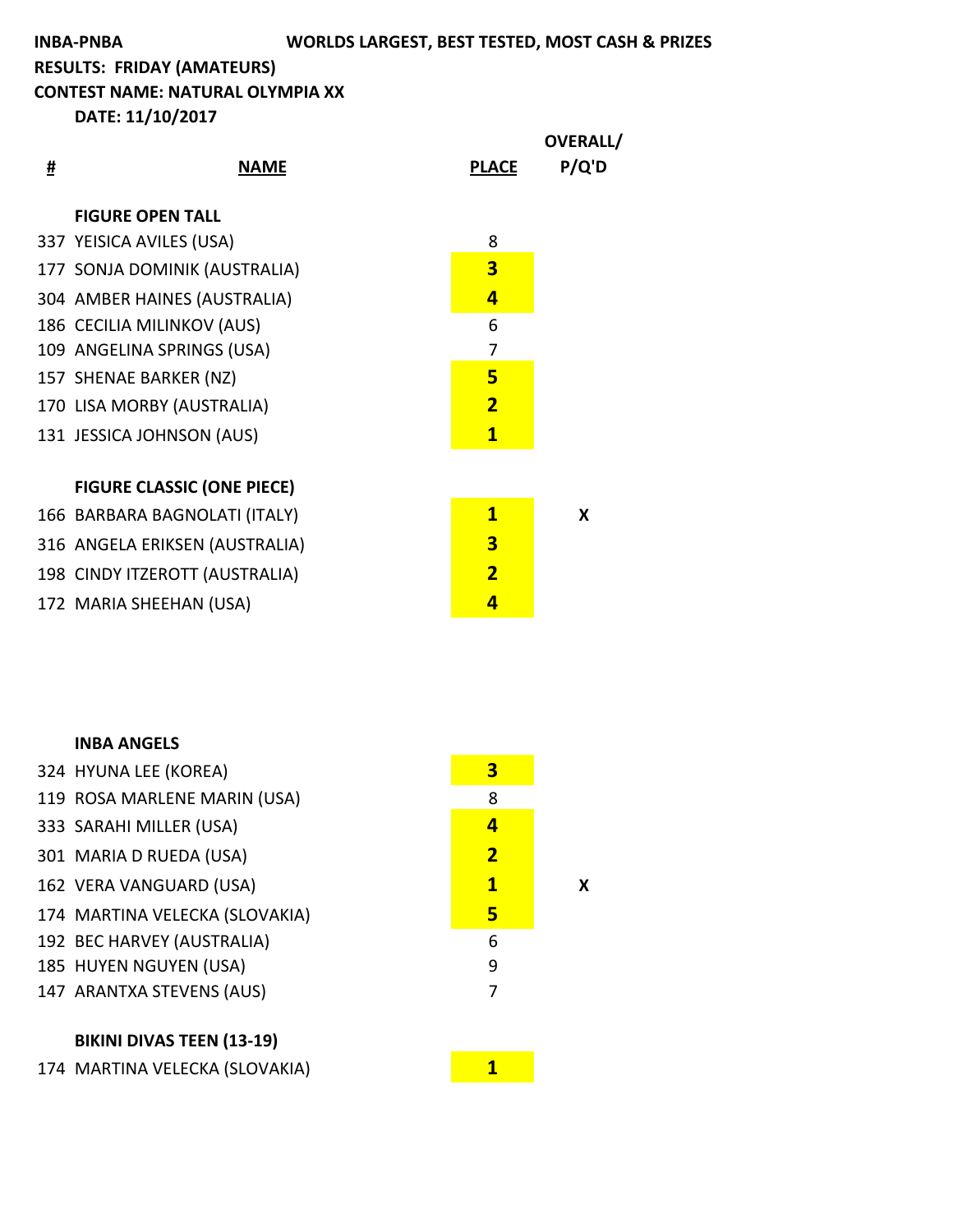**CONTEST NAME: NATURAL OLYMPIA XX** 

**DATE: 11/10/2017**

| <b>FIGURE OPEN TALL</b><br>337 YEISICA AVILES (USA)<br>8<br>3<br>177 SONJA DOMINIK (AUSTRALIA)<br>4<br>304 AMBER HAINES (AUSTRALIA)<br>186 CECILIA MILINKOV (AUS)<br>6<br>109 ANGELINA SPRINGS (USA)<br>7<br>5<br>157 SHENAE BARKER (NZ)<br>$\overline{\mathbf{2}}$<br>170 LISA MORBY (AUSTRALIA)<br>$\mathbf{1}$<br>131 JESSICA JOHNSON (AUS)<br><b>FIGURE CLASSIC (ONE PIECE)</b><br>$\mathbf{1}$<br>166 BARBARA BAGNOLATI (ITALY)<br>X<br>3<br>316 ANGELA ERIKSEN (AUSTRALIA)<br>$\overline{\mathbf{2}}$<br>198 CINDY ITZEROTT (AUSTRALIA)<br>4<br>172 MARIA SHEEHAN (USA) | # | <b>NAME</b> | <b>PLACE</b> | <b>OVERALL/</b><br>P/Q'D |
|-------------------------------------------------------------------------------------------------------------------------------------------------------------------------------------------------------------------------------------------------------------------------------------------------------------------------------------------------------------------------------------------------------------------------------------------------------------------------------------------------------------------------------------------------------------------------------|---|-------------|--------------|--------------------------|
|                                                                                                                                                                                                                                                                                                                                                                                                                                                                                                                                                                               |   |             |              |                          |
|                                                                                                                                                                                                                                                                                                                                                                                                                                                                                                                                                                               |   |             |              |                          |
|                                                                                                                                                                                                                                                                                                                                                                                                                                                                                                                                                                               |   |             |              |                          |
|                                                                                                                                                                                                                                                                                                                                                                                                                                                                                                                                                                               |   |             |              |                          |
|                                                                                                                                                                                                                                                                                                                                                                                                                                                                                                                                                                               |   |             |              |                          |
|                                                                                                                                                                                                                                                                                                                                                                                                                                                                                                                                                                               |   |             |              |                          |
|                                                                                                                                                                                                                                                                                                                                                                                                                                                                                                                                                                               |   |             |              |                          |
|                                                                                                                                                                                                                                                                                                                                                                                                                                                                                                                                                                               |   |             |              |                          |
|                                                                                                                                                                                                                                                                                                                                                                                                                                                                                                                                                                               |   |             |              |                          |
|                                                                                                                                                                                                                                                                                                                                                                                                                                                                                                                                                                               |   |             |              |                          |
|                                                                                                                                                                                                                                                                                                                                                                                                                                                                                                                                                                               |   |             |              |                          |
|                                                                                                                                                                                                                                                                                                                                                                                                                                                                                                                                                                               |   |             |              |                          |
|                                                                                                                                                                                                                                                                                                                                                                                                                                                                                                                                                                               |   |             |              |                          |
|                                                                                                                                                                                                                                                                                                                                                                                                                                                                                                                                                                               |   |             |              |                          |

| <b>INBA ANGELS</b>             |                |   |
|--------------------------------|----------------|---|
| 324 HYUNA LEE (KOREA)          | 3              |   |
| 119 ROSA MARLENE MARIN (USA)   | 8              |   |
| 333 SARAHI MILLER (USA)        | 4              |   |
| 301 MARIA D RUEDA (USA)        | $\overline{2}$ |   |
| 162 VERA VANGUARD (USA)        | $\mathbf{1}$   | х |
| 174 MARTINA VELECKA (SLOVAKIA) | 5              |   |
| 192 BEC HARVEY (AUSTRALIA)     | 6              |   |
| 185 HUYEN NGUYEN (USA)         | 9              |   |
| 147 ARANTXA STEVENS (AUS)      | 7              |   |
|                                |                |   |

**BIKINI DIVAS TEEN (13-19)** 

174 MARTINA VELECKA (SLOVAKIA) **174 MARTINA**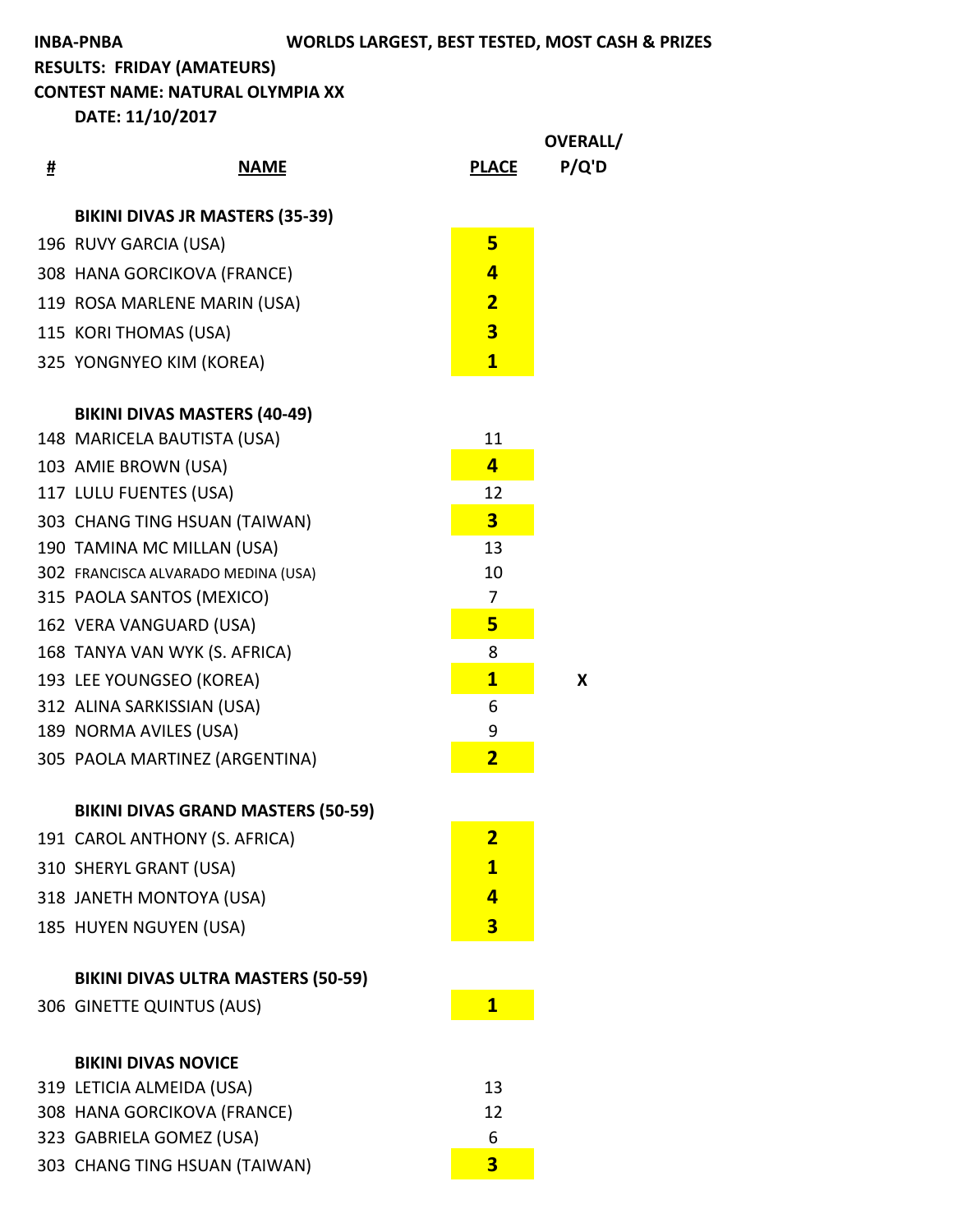**CONTEST NAME: NATURAL OLYMPIA XX** 

|   |                                           |                         | OVERALL/ |
|---|-------------------------------------------|-------------------------|----------|
| # | <b>NAME</b>                               | <b>PLACE</b>            | P/Q'D    |
|   | <b>BIKINI DIVAS JR MASTERS (35-39)</b>    |                         |          |
|   | 196 RUVY GARCIA (USA)                     | $5\overline{}$          |          |
|   | 308 HANA GORCIKOVA (FRANCE)               | 4                       |          |
|   | 119 ROSA MARLENE MARIN (USA)              | $\overline{\mathbf{2}}$ |          |
|   | 115 KORI THOMAS (USA)                     | $\overline{\mathbf{3}}$ |          |
|   | 325 YONGNYEO KIM (KOREA)                  | $\mathbf{1}$            |          |
|   |                                           |                         |          |
|   | <b>BIKINI DIVAS MASTERS (40-49)</b>       |                         |          |
|   | 148 MARICELA BAUTISTA (USA)               | 11                      |          |
|   | 103 AMIE BROWN (USA)                      | $\overline{a}$          |          |
|   | 117 LULU FUENTES (USA)                    | 12                      |          |
|   | 303 CHANG TING HSUAN (TAIWAN)             | $\overline{\mathbf{3}}$ |          |
|   | 190 TAMINA MC MILLAN (USA)                | 13                      |          |
|   | 302 FRANCISCA ALVARADO MEDINA (USA)       | 10                      |          |
|   | 315 PAOLA SANTOS (MEXICO)                 | 7                       |          |
|   | 162 VERA VANGUARD (USA)                   | 5                       |          |
|   | 168 TANYA VAN WYK (S. AFRICA)             | 8                       |          |
|   | 193 LEE YOUNGSEO (KOREA)                  | $\mathbf{1}$            | X        |
|   | 312 ALINA SARKISSIAN (USA)                | 6                       |          |
|   | 189 NORMA AVILES (USA)                    | 9                       |          |
|   | 305 PAOLA MARTINEZ (ARGENTINA)            | $\overline{\mathbf{2}}$ |          |
|   | <b>BIKINI DIVAS GRAND MASTERS (50-59)</b> |                         |          |
|   | 191 CAROL ANTHONY (S. AFRICA)             | <u>2</u>                |          |
|   | 310 SHERYL GRANT (USA)                    | $\overline{\mathbf{1}}$ |          |
|   | 318 JANETH MONTOYA (USA)                  | 4                       |          |
|   | 185 HUYEN NGUYEN (USA)                    | 3                       |          |
|   |                                           |                         |          |
|   | <b>BIKINI DIVAS ULTRA MASTERS (50-59)</b> |                         |          |
|   | 306 GINETTE QUINTUS (AUS)                 | $\mathbf{1}$            |          |
|   | <b>BIKINI DIVAS NOVICE</b>                |                         |          |
|   | 319 LETICIA ALMEIDA (USA)                 | 13                      |          |
|   | 308 HANA GORCIKOVA (FRANCE)               | 12                      |          |
|   | 323 GABRIELA GOMEZ (USA)                  | 6                       |          |
|   | 303 CHANG TING HSUAN (TAIWAN)             | $\overline{\mathbf{3}}$ |          |